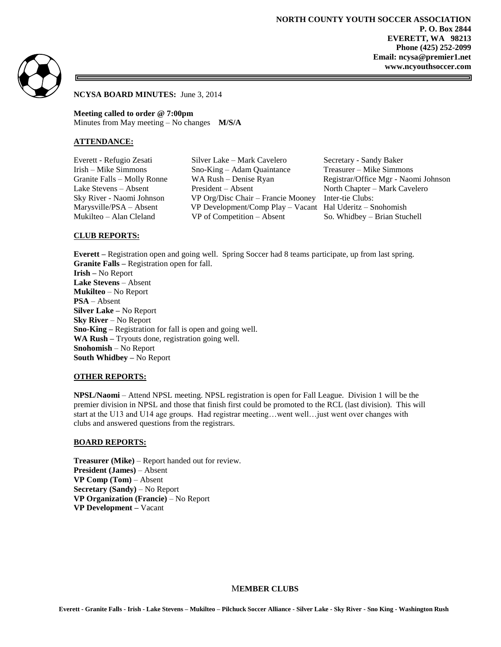

#### **NCYSA BOARD MINUTES:** June 3, 2014

**Meeting called to order @ 7:00pm** Minutes from May meeting – No changes **M/S/A** 

#### **ATTENDANCE:**

Everett - Refugio Zesati Silver Lake – Mark Cavelero Secretary - Sandy Baker Irish – Mike Simmons Sno-King – Adam Quaintance Treasurer – Mike Simmons Granite Falls – Molly Ronne WA Rush – Denise Ryan Registrar/Office Mgr - Naomi Johnson Lake Stevens – Absent President – Absent North Chapter – Mark Cavelero Sky River - Naomi Johnson VP Org/Disc Chair – Francie Mooney Inter-tie Clubs: Marysville/PSA – Absent VP Development/Comp Play – Vacant Hal Uderitz – Snohomish Mukilteo – Alan Cleland VP of Competition – Absent So. Whidbey – Brian Stuchell

### **CLUB REPORTS:**

**Everett –** Registration open and going well. Spring Soccer had 8 teams participate, up from last spring. **Granite Falls –** Registration open for fall. **Irish –** No Report

**Lake Stevens** – Absent **Mukilteo** – No Report **PSA** – Absent **Silver Lake –** No Report **Sky River** – No Report **Sno-King –** Registration for fall is open and going well. **WA Rush –** Tryouts done, registration going well. **Snohomish** – No Report **South Whidbey –** No Report

#### **OTHER REPORTS:**

**NPSL/Naomi** – Attend NPSL meeting. NPSL registration is open for Fall League. Division 1 will be the premier division in NPSL and those that finish first could be promoted to the RCL (last division). This will start at the U13 and U14 age groups. Had registrar meeting…went well…just went over changes with clubs and answered questions from the registrars.

#### **BOARD REPORTS:**

**Treasurer (Mike)** – Report handed out for review. **President (James)** – Absent **VP Comp (Tom)** – Absent **Secretary (Sandy)** – No Report **VP Organization (Francie)** – No Report **VP Development –** Vacant

# M**EMBER CLUBS**